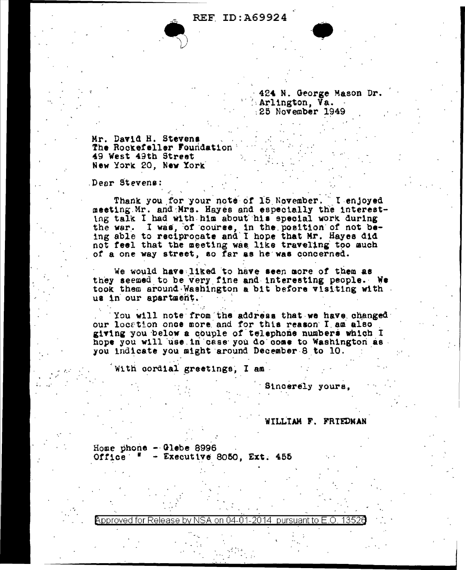**REF ID: A69924** 

424 N. George Mason Dr. Arlington, Va. 25 November 1949

Mr. David H. Stevens The Rockefeller Foundation 49 West 49th Street New York 20, New York

Dear Stevens:

Thank you for your note of 15 November. I enjoyed meeting Mr. and Mrs. Hayes and especially the interesting talk I had with him about his special work during the war. I was, of course, in the position of not be-<br>ing able to reciprocate and I hope that Mr. Hayes did not feel that the meeting was like traveling too much of a one way street, so far as he was concerned.

We would have liked to have seen more of them as they seemed to be very fine and interesting people. We took them around Washington a bit before visiting with us in our apartment.

You will note from the address that we have changed our location once more and for this reason I am also giving you below a couple of telephone numbers which I hope you will use in case you do come to Washington as. you indicate you might around December 8 to 10.

With cordial greetings, I am-

Sincerely yours.

WILLIAM F. FRIEDNAN

Home phone  $-$  Glebe 8996 Office  $=$   $=$  Executive 8050, Ext. 455

Approved for Release by NSA on 04-01-2014 pursuant to E.O.